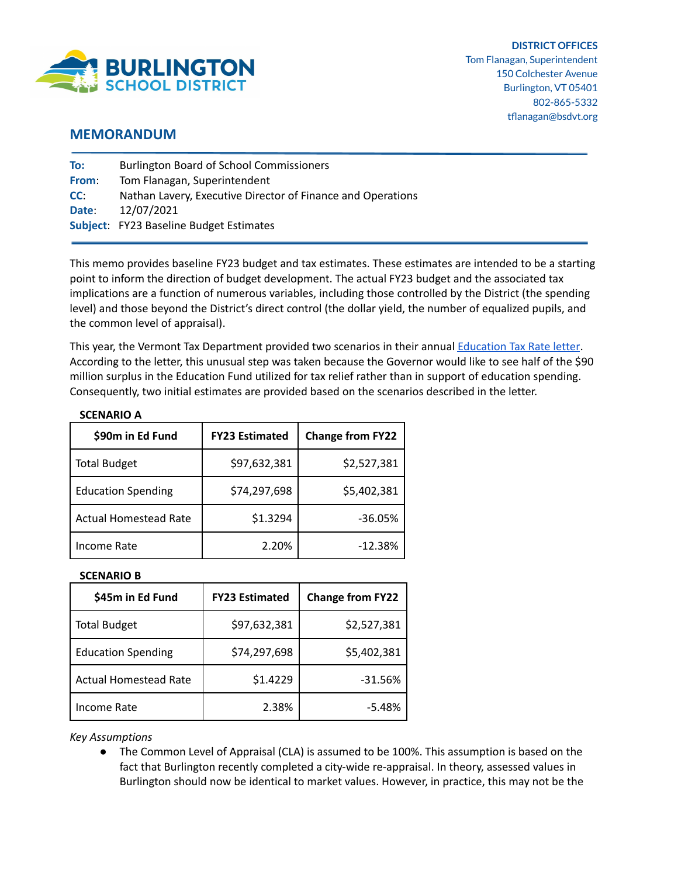

## **MEMORANDUM**

| To:   | <b>Burlington Board of School Commissioners</b>             |
|-------|-------------------------------------------------------------|
| From: | Tom Flanagan, Superintendent                                |
| CC:   | Nathan Lavery, Executive Director of Finance and Operations |
| Date: | 12/07/2021                                                  |
|       | <b>Subject:</b> FY23 Baseline Budget Estimates              |

This memo provides baseline FY23 budget and tax estimates. These estimates are intended to be a starting point to inform the direction of budget development. The actual FY23 budget and the associated tax implications are a function of numerous variables, including those controlled by the District (the spending level) and those beyond the District's direct control (the dollar yield, the number of equalized pupils, and the common level of appraisal).

This year, the Vermont Tax Department provided two scenarios in their annual [Education](https://tax.vermont.gov/sites/tax/files/documents/2021%20Education%20Tax%20Rate%20Letter.pdf) Tax Rate letter. According to the letter, this unusual step was taken because the Governor would like to see half of the \$90 million surplus in the Education Fund utilized for tax relief rather than in support of education spending. Consequently, two initial estimates are provided based on the scenarios described in the letter.

| JULINAINU A                  |                       |                         |  |  |
|------------------------------|-----------------------|-------------------------|--|--|
| \$90m in Ed Fund             | <b>FY23 Estimated</b> | <b>Change from FY22</b> |  |  |
| <b>Total Budget</b>          | \$97,632,381          | \$2,527,381             |  |  |
| <b>Education Spending</b>    | \$74,297,698          | \$5,402,381             |  |  |
| <b>Actual Homestead Rate</b> | \$1.3294              | $-36.05%$               |  |  |
| Income Rate                  | 2.20%                 | $-12.38%$               |  |  |

## **SCENARIO A**

## **SCENARIO B**

| \$45m in Ed Fund             | <b>FY23 Estimated</b> | <b>Change from FY22</b> |
|------------------------------|-----------------------|-------------------------|
| <b>Total Budget</b>          | \$97,632,381          | \$2,527,381             |
| <b>Education Spending</b>    | \$74,297,698          | \$5,402,381             |
| <b>Actual Homestead Rate</b> | \$1.4229              | $-31.56%$               |
| Income Rate                  | 2.38%                 | $-5.48%$                |

*Key Assumptions*

● The Common Level of Appraisal (CLA) is assumed to be 100%. This assumption is based on the fact that Burlington recently completed a city-wide re-appraisal. In theory, assessed values in Burlington should now be identical to market values. However, in practice, this may not be the